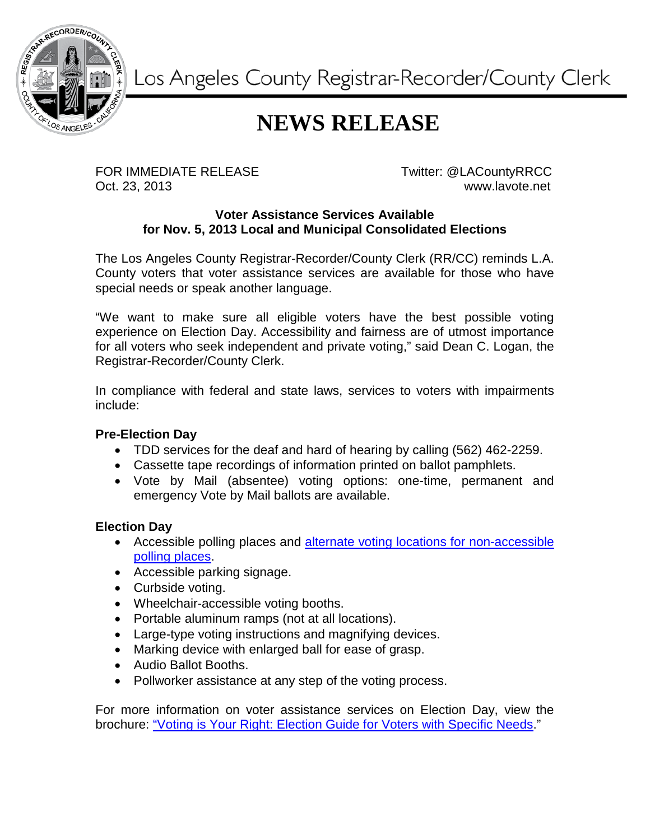

Los Angeles County Registrar-Recorder/County Clerk

## **NEWS RELEASE**

FOR IMMEDIATE RELEASE TWitter: @LACountyRRCC Oct. 23, 2013 www.lavote.net

## **Voter Assistance Services Available for Nov. 5, 2013 Local and Municipal Consolidated Elections**

The Los Angeles County Registrar-Recorder/County Clerk (RR/CC) reminds L.A. County voters that voter assistance services are available for those who have special needs or speak another language.

"We want to make sure all eligible voters have the best possible voting experience on Election Day. Accessibility and fairness are of utmost importance for all voters who seek independent and private voting," said Dean C. Logan, the Registrar-Recorder/County Clerk.

In compliance with federal and state laws, services to voters with impairments include:

## **Pre-Election Day**

- TDD services for the deaf and hard of hearing by calling (562) 462-2259.
- Cassette tape recordings of information printed on ballot pamphlets.
- Vote by Mail (absentee) voting options: one-time, permanent and emergency Vote by Mail ballots are available.

## **Election Day**

- Accessible polling places and alternate voting locations for non-accessible [polling places.](http://www.lavote.net/Voter/ACCESSIBILITY/Voting_Options.cfm)
- Accessible parking signage.
- Curbside voting.
- Wheelchair-accessible voting booths.
- Portable aluminum ramps (not at all locations).
- Large-type voting instructions and magnifying devices.
- Marking device with enlarged ball for ease of grasp.
- Audio Ballot Booths.
- Pollworker assistance at any step of the voting process.

For more information on voter assistance services on Election Day, view the brochure: ["Voting is Your Right: Election Guide for Voters with Specific Needs.](http://www.lavote.net/voter/ACCESSIBILITY/PDFS/VOTING_IS_RIGHT.pdf)"